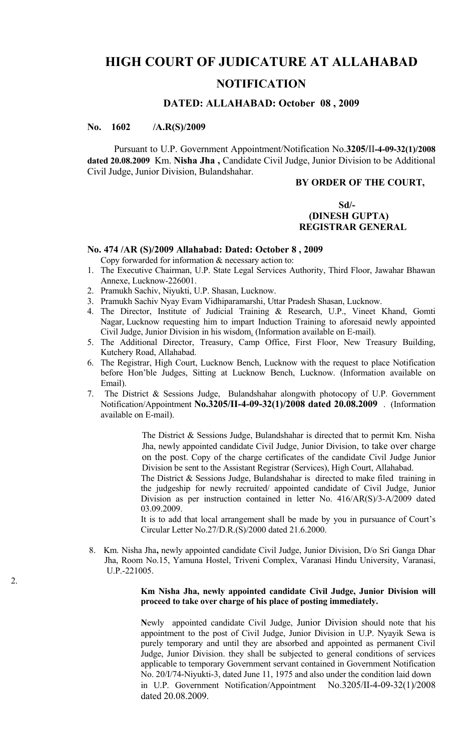# **HIGH COURT OF JUDICATURE AT ALLAHABAD NOTIFICATION**

#### **DATED: ALLAHABAD: October 08 , 2009**

### **No. 1602 /A.R(S)/2009**

2.

Pursuant to U.P. Government Appointment/Notification No.**3205/**II**-4-09-32(1)/2008 dated 20.08.2009** Km. **Nisha Jha ,** Candidate Civil Judge, Junior Division to be Additional Civil Judge, Junior Division, Bulandshahar.

#### **BY ORDER OF THE COURT,**

### **Sd/- (DINESH GUPTA) REGISTRAR GENERAL**

## **No. 474 /AR (S)/2009 Allahabad: Dated: October 8 , 2009**

Copy forwarded for information & necessary action to:

- 1. The Executive Chairman, U.P. State Legal Services Authority, Third Floor, Jawahar Bhawan Annexe, Lucknow-226001.
- 2. Pramukh Sachiv, Niyukti, U.P. Shasan, Lucknow.
- 3. Pramukh Sachiv Nyay Evam Vidhiparamarshi, Uttar Pradesh Shasan, Lucknow.
- 4. The Director, Institute of Judicial Training & Research, U.P., Vineet Khand, Gomti Nagar, Lucknow requesting him to impart Induction Training to aforesaid newly appointed Civil Judge, Junior Division in his wisdom. (Information available on E-mail).
- 5. The Additional Director, Treasury, Camp Office, First Floor, New Treasury Building, Kutchery Road, Allahabad.
- 6. The Registrar, High Court, Lucknow Bench, Lucknow with the request to place Notification before Hon'ble Judges, Sitting at Lucknow Bench, Lucknow. (Information available on Email).
- 7. The District & Sessions Judge, Bulandshahar alongwith photocopy of U.P. Government Notification/Appointment **No.3205/II-4-09-32(1)/2008 dated 20.08.2009** . (Information available on E-mail).

The District & Sessions Judge, Bulandshahar is directed that to permit Km. Nisha Jha, newly appointed candidate Civil Judge, Junior Division, to take over charge on the post. Copy of the charge certificates of the candidate Civil Judge Junior Division be sent to the Assistant Registrar (Services), High Court, Allahabad.

The District & Sessions Judge, Bulandshahar is directed to make filed training in the judgeship for newly recruited/ appointed candidate of Civil Judge, Junior Division as per instruction contained in letter No. 416/AR(S)/3-A/2009 dated 03.09.2009.

It is to add that local arrangement shall be made by you in pursuance of Court's Circular Letter No.27/D.R.(S)/2000 dated 21.6.2000.

8. Km. Nisha Jha**,** newly appointed candidate Civil Judge, Junior Division, D/o Sri Ganga Dhar Jha, Room No.15, Yamuna Hostel, Triveni Complex, Varanasi Hindu University, Varanasi, U.P.-221005.

#### **Km Nisha Jha, newly appointed candidate Civil Judge, Junior Division will proceed to take over charge of his place of posting immediately.**

**N**ewly appointed candidate Civil Judge, Junior Division should note that his appointment to the post of Civil Judge, Junior Division in U.P. Nyayik Sewa is purely temporary and until they are absorbed and appointed as permanent Civil Judge, Junior Division. they shall be subjected to general conditions of services applicable to temporary Government servant contained in Government Notification No. 20/I/74-Niyukti-3, dated June 11, 1975 and also under the condition laid down in U.P. Government Notification/Appointment No.3205/II-4-09-32(1)/2008 dated 20.08.2009.